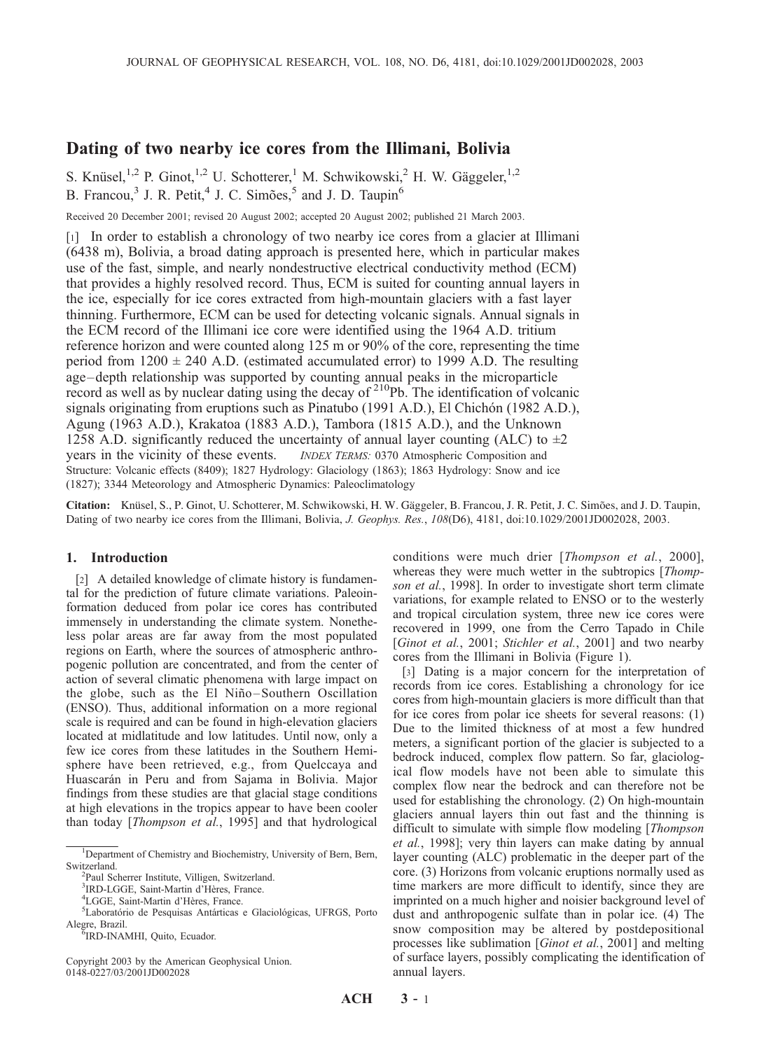# Dating of two nearby ice cores from the Illimani, Bolivia

S. Knüsel,<sup>1,2</sup> P. Ginot,<sup>1,2</sup> U. Schotterer,<sup>1</sup> M. Schwikowski,<sup>2</sup> H. W. Gäggeler,<sup>1,2</sup> B. Francou,<sup>3</sup> J. R. Petit,<sup>4</sup> J. C. Simões,<sup>5</sup> and J. D. Taupin<sup>6</sup>

Received 20 December 2001; revised 20 August 2002; accepted 20 August 2002; published 21 March 2003.

[1] In order to establish a chronology of two nearby ice cores from a glacier at Illimani (6438 m), Bolivia, a broad dating approach is presented here, which in particular makes use of the fast, simple, and nearly nondestructive electrical conductivity method (ECM) that provides a highly resolved record. Thus, ECM is suited for counting annual layers in the ice, especially for ice cores extracted from high-mountain glaciers with a fast layer thinning. Furthermore, ECM can be used for detecting volcanic signals. Annual signals in the ECM record of the Illimani ice core were identified using the 1964 A.D. tritium reference horizon and were counted along 125 m or 90% of the core, representing the time period from  $1200 \pm 240$  A.D. (estimated accumulated error) to 1999 A.D. The resulting age–depth relationship was supported by counting annual peaks in the microparticle record as well as by nuclear dating using the decay of 210Pb. The identification of volcanic signals originating from eruptions such as Pinatubo (1991 A.D.), El Chichón (1982 A.D.), Agung (1963 A.D.), Krakatoa (1883 A.D.), Tambora (1815 A.D.), and the Unknown 1258 A.D. significantly reduced the uncertainty of annual layer counting (ALC) to  $\pm 2$ years in the vicinity of these events. *INDEX TERMS:* 0370 Atmospheric Composition and Structure: Volcanic effects (8409); 1827 Hydrology: Glaciology (1863); 1863 Hydrology: Snow and ice (1827); 3344 Meteorology and Atmospheric Dynamics: Paleoclimatology

Citation: Knüsel, S., P. Ginot, U. Schotterer, M. Schwikowski, H. W. Gäggeler, B. Francou, J. R. Petit, J. C. Simões, and J. D. Taupin, Dating of two nearby ice cores from the Illimani, Bolivia, J. Geophys. Res., 108(D6), 4181, doi:10.1029/2001JD002028, 2003.

### 1. Introduction

[2] A detailed knowledge of climate history is fundamental for the prediction of future climate variations. Paleoinformation deduced from polar ice cores has contributed immensely in understanding the climate system. Nonetheless polar areas are far away from the most populated regions on Earth, where the sources of atmospheric anthropogenic pollution are concentrated, and from the center of action of several climatic phenomena with large impact on the globe, such as the El Niño-Southern Oscillation (ENSO). Thus, additional information on a more regional scale is required and can be found in high-elevation glaciers located at midlatitude and low latitudes. Until now, only a few ice cores from these latitudes in the Southern Hemisphere have been retrieved, e.g., from Quelccaya and Huascarán in Peru and from Sajama in Bolivia. Major findings from these studies are that glacial stage conditions at high elevations in the tropics appear to have been cooler than today [Thompson et al., 1995] and that hydrological

Copyright 2003 by the American Geophysical Union. 0148-0227/03/2001JD002028

conditions were much drier [Thompson et al., 2000], whereas they were much wetter in the subtropics [*Thomp*son et al., 1998]. In order to investigate short term climate variations, for example related to ENSO or to the westerly and tropical circulation system, three new ice cores were recovered in 1999, one from the Cerro Tapado in Chile [Ginot et al., 2001; Stichler et al., 2001] and two nearby cores from the Illimani in Bolivia (Figure 1).

[3] Dating is a major concern for the interpretation of records from ice cores. Establishing a chronology for ice cores from high-mountain glaciers is more difficult than that for ice cores from polar ice sheets for several reasons: (1) Due to the limited thickness of at most a few hundred meters, a significant portion of the glacier is subjected to a bedrock induced, complex flow pattern. So far, glaciological flow models have not been able to simulate this complex flow near the bedrock and can therefore not be used for establishing the chronology. (2) On high-mountain glaciers annual layers thin out fast and the thinning is difficult to simulate with simple flow modeling [*Thompson*] et al., 1998]; very thin layers can make dating by annual layer counting (ALC) problematic in the deeper part of the core. (3) Horizons from volcanic eruptions normally used as time markers are more difficult to identify, since they are imprinted on a much higher and noisier background level of dust and anthropogenic sulfate than in polar ice. (4) The snow composition may be altered by postdepositional processes like sublimation [Ginot et al., 2001] and melting of surface layers, possibly complicating the identification of annual layers.

<sup>&</sup>lt;sup>1</sup>Department of Chemistry and Biochemistry, University of Bern, Bern, Switzerland.

<sup>&</sup>lt;sup>2</sup>Paul Scherrer Institute, Villigen, Switzerland.

 ${}^{3}$ IRD-LGGE, Saint-Martin d'Hères, France.<br><sup>4</sup>I GGE, Saint Martin d'Hères, France.

<sup>&</sup>lt;sup>4</sup>LGGE, Saint-Martin d'Hères, France.

<sup>&</sup>lt;sup>5</sup>Laboratório de Pesquisas Antárticas e Glaciológicas, UFRGS, Porto Alegre, Brazil. <sup>6</sup>

<sup>&</sup>lt;sup>6</sup>IRD-INAMHI, Quito, Ecuador.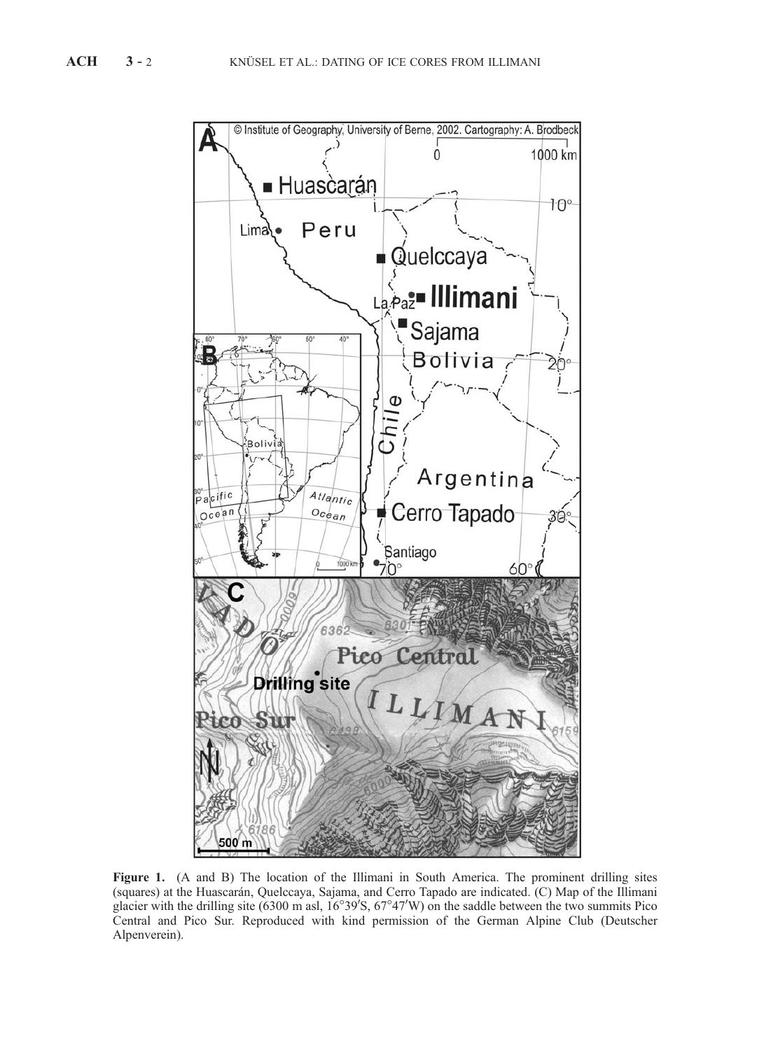

Figure 1. (A and B) The location of the Illimani in South America. The prominent drilling sites (squares) at the Huascara´n, Quelccaya, Sajama, and Cerro Tapado are indicated. (C) Map of the Illimani glacier with the drilling site  $(6300 \text{ m as}1, 16^{\circ}39' \text{S}, 67^{\circ}47' \text{W})$  on the saddle between the two summits Pico Central and Pico Sur. Reproduced with kind permission of the German Alpine Club (Deutscher Alpenverein).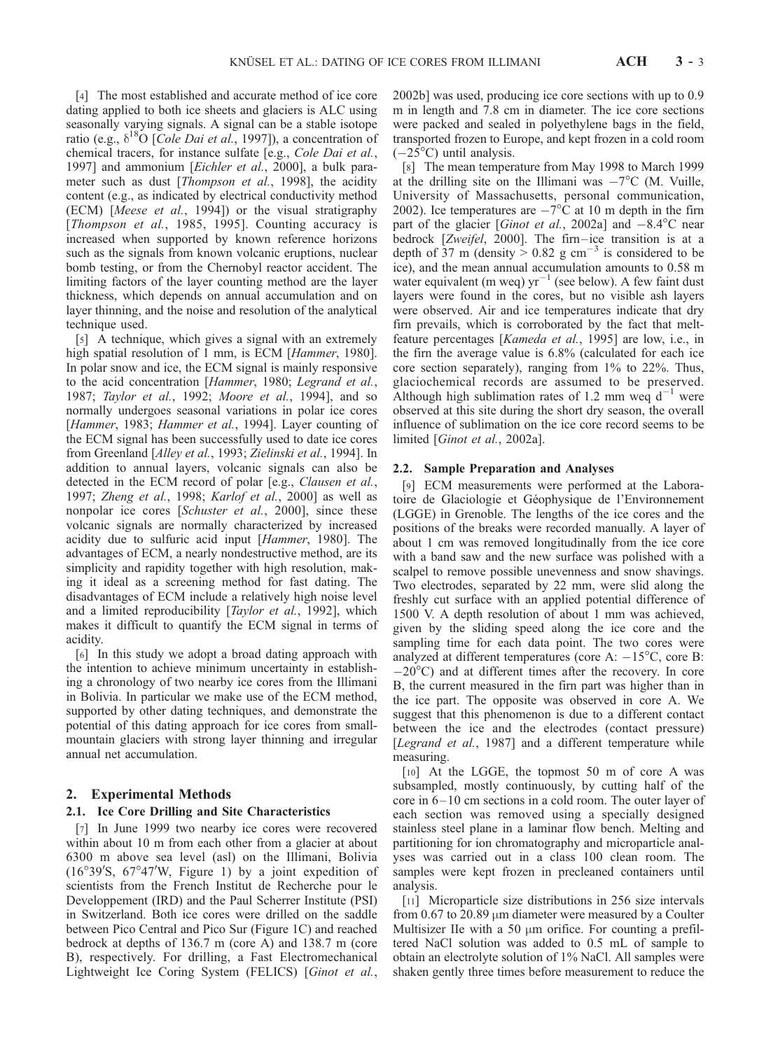[4] The most established and accurate method of ice core dating applied to both ice sheets and glaciers is ALC using seasonally varying signals. A signal can be a stable isotope ratio (e.g.,  $\delta^{18}O$  [*Cole Dai et al.*, 1997]), a concentration of chemical tracers, for instance sulfate [e.g., Cole Dai et al., 1997] and ammonium [Eichler et al., 2000], a bulk parameter such as dust [*Thompson et al.*, 1998], the acidity content (e.g., as indicated by electrical conductivity method (ECM) [Meese et al., 1994]) or the visual stratigraphy [Thompson et al., 1985, 1995]. Counting accuracy is increased when supported by known reference horizons such as the signals from known volcanic eruptions, nuclear bomb testing, or from the Chernobyl reactor accident. The limiting factors of the layer counting method are the layer thickness, which depends on annual accumulation and on layer thinning, and the noise and resolution of the analytical technique used.

[5] A technique, which gives a signal with an extremely high spatial resolution of 1 mm, is ECM [Hammer, 1980]. In polar snow and ice, the ECM signal is mainly responsive to the acid concentration [Hammer, 1980; Legrand et al., 1987; Taylor et al., 1992; Moore et al., 1994], and so normally undergoes seasonal variations in polar ice cores [Hammer, 1983; Hammer et al., 1994]. Layer counting of the ECM signal has been successfully used to date ice cores from Greenland [Alley et al., 1993; Zielinski et al., 1994]. In addition to annual layers, volcanic signals can also be detected in the ECM record of polar [e.g., Clausen et al., 1997; Zheng et al., 1998; Karlof et al., 2000] as well as nonpolar ice cores [Schuster et al., 2000], since these volcanic signals are normally characterized by increased acidity due to sulfuric acid input [Hammer, 1980]. The advantages of ECM, a nearly nondestructive method, are its simplicity and rapidity together with high resolution, making it ideal as a screening method for fast dating. The disadvantages of ECM include a relatively high noise level and a limited reproducibility [Taylor et al., 1992], which makes it difficult to quantify the ECM signal in terms of acidity.

[6] In this study we adopt a broad dating approach with the intention to achieve minimum uncertainty in establishing a chronology of two nearby ice cores from the Illimani in Bolivia. In particular we make use of the ECM method, supported by other dating techniques, and demonstrate the potential of this dating approach for ice cores from smallmountain glaciers with strong layer thinning and irregular annual net accumulation.

# 2. Experimental Methods

# 2.1. Ice Core Drilling and Site Characteristics

[7] In June 1999 two nearby ice cores were recovered within about 10 m from each other from a glacier at about 6300 m above sea level (asl) on the Illimani, Bolivia  $(16°39'S, 67°47'W, Figure 1)$  by a joint expedition of scientists from the French Institut de Recherche pour le Developpement (IRD) and the Paul Scherrer Institute (PSI) in Switzerland. Both ice cores were drilled on the saddle between Pico Central and Pico Sur (Figure 1C) and reached bedrock at depths of 136.7 m (core A) and 138.7 m (core B), respectively. For drilling, a Fast Electromechanical Lightweight Ice Coring System (FELICS) [Ginot et al., 2002b] was used, producing ice core sections with up to 0.9 m in length and 7.8 cm in diameter. The ice core sections were packed and sealed in polyethylene bags in the field, transported frozen to Europe, and kept frozen in a cold room  $(-25^{\circ}C)$  until analysis.

[8] The mean temperature from May 1998 to March 1999 at the drilling site on the Illimani was  $-7^{\circ}$ C (M. Vuille, University of Massachusetts, personal communication, 2002). Ice temperatures are  $-7^{\circ}$ C at 10 m depth in the firn part of the glacier [*Ginot et al.*, 2002a] and  $-8.4^{\circ}$ C near bedrock [Zweifel, 2000]. The firn-ice transition is at a depth of  $37 \text{ m}$  (density  $> 0.82 \text{ g cm}^{-3}$  is considered to be ice), and the mean annual accumulation amounts to 0.58 m water equivalent (m weq)  $yr^{-1}$  (see below). A few faint dust layers were found in the cores, but no visible ash layers were observed. Air and ice temperatures indicate that dry firn prevails, which is corroborated by the fact that meltfeature percentages [Kameda et al., 1995] are low, i.e., in the firn the average value is 6.8% (calculated for each ice core section separately), ranging from 1% to 22%. Thus, glaciochemical records are assumed to be preserved. Although high sublimation rates of 1.2 mm weq  $d^{-1}$  were observed at this site during the short dry season, the overall influence of sublimation on the ice core record seems to be limited [Ginot et al., 2002a].

#### 2.2. Sample Preparation and Analyses

[9] ECM measurements were performed at the Laboratoire de Glaciologie et Géophysique de l'Environnement (LGGE) in Grenoble. The lengths of the ice cores and the positions of the breaks were recorded manually. A layer of about 1 cm was removed longitudinally from the ice core with a band saw and the new surface was polished with a scalpel to remove possible unevenness and snow shavings. Two electrodes, separated by 22 mm, were slid along the freshly cut surface with an applied potential difference of 1500 V. A depth resolution of about 1 mm was achieved, given by the sliding speed along the ice core and the sampling time for each data point. The two cores were analyzed at different temperatures (core A:  $-15^{\circ}$ C, core B:  $-20^{\circ}$ C) and at different times after the recovery. In core B, the current measured in the firn part was higher than in the ice part. The opposite was observed in core A. We suggest that this phenomenon is due to a different contact between the ice and the electrodes (contact pressure) [Legrand et al., 1987] and a different temperature while measuring.

[10] At the LGGE, the topmost 50 m of core A was subsampled, mostly continuously, by cutting half of the core in 6– 10 cm sections in a cold room. The outer layer of each section was removed using a specially designed stainless steel plane in a laminar flow bench. Melting and partitioning for ion chromatography and microparticle analyses was carried out in a class 100 clean room. The samples were kept frozen in precleaned containers until analysis.

[11] Microparticle size distributions in 256 size intervals from 0.67 to 20.89  $\mu$ m diameter were measured by a Coulter Multisizer IIe with a 50  $\mu$ m orifice. For counting a prefiltered NaCl solution was added to 0.5 mL of sample to obtain an electrolyte solution of 1% NaCl. All samples were shaken gently three times before measurement to reduce the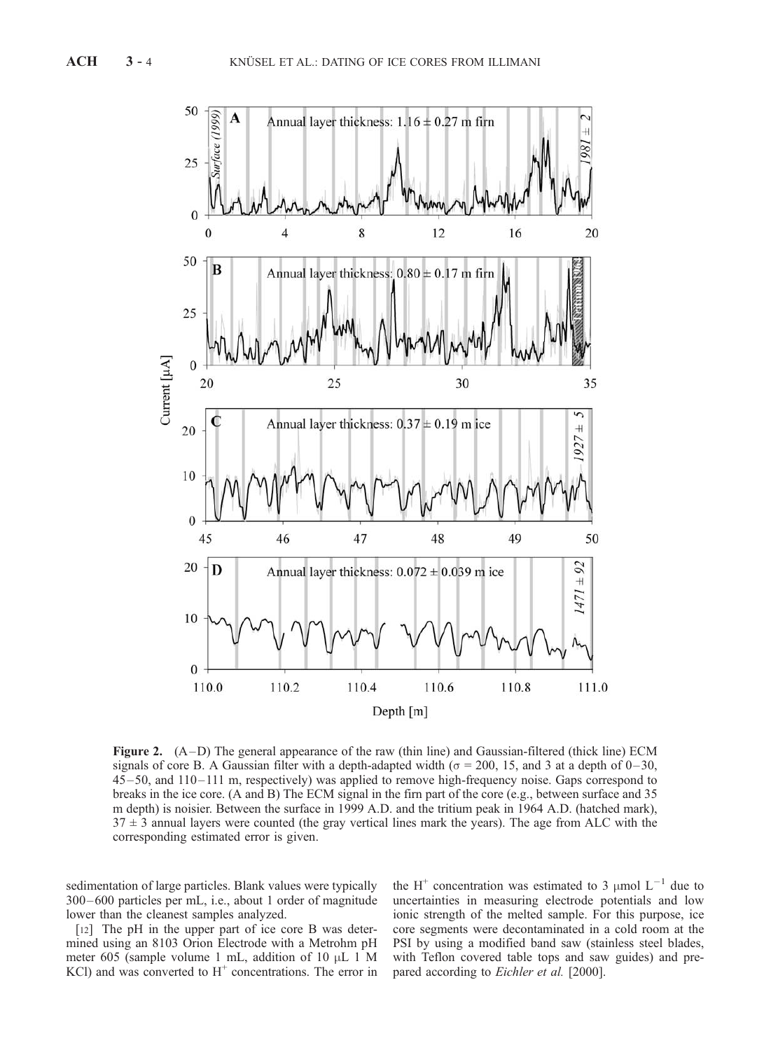

Figure 2. (A –D) The general appearance of the raw (thin line) and Gaussian-filtered (thick line) ECM signals of core B. A Gaussian filter with a depth-adapted width ( $\sigma$  = 200, 15, and 3 at a depth of 0–30, 45– 50, and 110– 111 m, respectively) was applied to remove high-frequency noise. Gaps correspond to breaks in the ice core. (A and B) The ECM signal in the firn part of the core (e.g., between surface and 35 m depth) is noisier. Between the surface in 1999 A.D. and the tritium peak in 1964 A.D. (hatched mark),  $37 \pm 3$  annual layers were counted (the gray vertical lines mark the years). The age from ALC with the corresponding estimated error is given.

sedimentation of large particles. Blank values were typically 300 –600 particles per mL, i.e., about 1 order of magnitude lower than the cleanest samples analyzed.

[12] The pH in the upper part of ice core B was determined using an 8103 Orion Electrode with a Metrohm pH meter 605 (sample volume 1 mL, addition of 10  $\mu$ L 1 M KCl) and was converted to  $H^+$  concentrations. The error in

the H<sup>+</sup> concentration was estimated to 3  $\mu$ mol L<sup>-1</sup> due to uncertainties in measuring electrode potentials and low ionic strength of the melted sample. For this purpose, ice core segments were decontaminated in a cold room at the PSI by using a modified band saw (stainless steel blades, with Teflon covered table tops and saw guides) and prepared according to *Eichler et al.* [2000].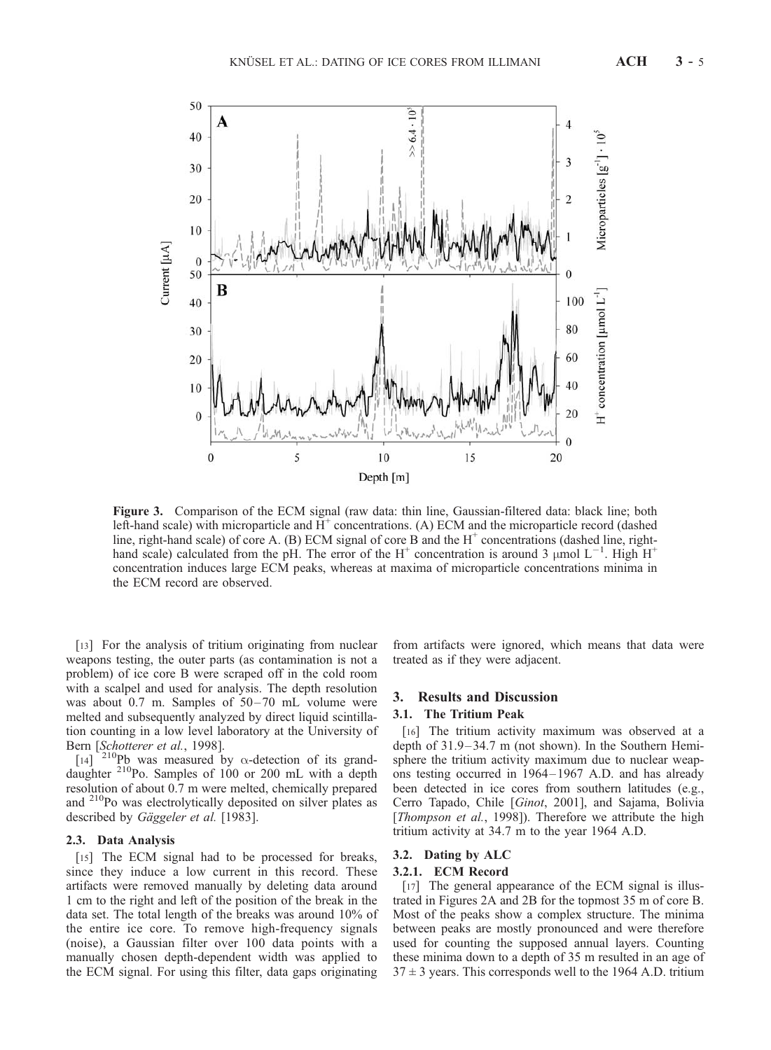

Figure 3. Comparison of the ECM signal (raw data: thin line, Gaussian-filtered data: black line; both left-hand scale) with microparticle and  $H^+$  concentrations. (A) ECM and the microparticle record (dashed line, right-hand scale) of core A. (B) ECM signal of core B and the  $H^+$  concentrations (dashed line, righthand scale) calculated from the pH. The error of the H<sup>+</sup> concentration is around 3  $\mu$ mol L<sup>-1</sup>. High H<sup>+</sup> concentration induces large ECM peaks, whereas at maxima of microparticle concentrations minima in the ECM record are observed.

[13] For the analysis of tritium originating from nuclear weapons testing, the outer parts (as contamination is not a problem) of ice core B were scraped off in the cold room with a scalpel and used for analysis. The depth resolution was about  $0.7$  m. Samples of  $50-70$  mL volume were melted and subsequently analyzed by direct liquid scintillation counting in a low level laboratory at the University of Bern [Schotterer et al., 1998].

 $\begin{bmatrix} 14 \end{bmatrix}$ <sup>210</sup>Pb was measured by  $\alpha$ -detection of its granddaughter <sup>210</sup>Po. Samples of 100 or 200 mL with a depth resolution of about 0.7 m were melted, chemically prepared and <sup>210</sup>Po was electrolytically deposited on silver plates as described by Gäggeler et al. [1983].

#### 2.3. Data Analysis

[15] The ECM signal had to be processed for breaks, since they induce a low current in this record. These artifacts were removed manually by deleting data around 1 cm to the right and left of the position of the break in the data set. The total length of the breaks was around 10% of the entire ice core. To remove high-frequency signals (noise), a Gaussian filter over 100 data points with a manually chosen depth-dependent width was applied to the ECM signal. For using this filter, data gaps originating

from artifacts were ignored, which means that data were treated as if they were adjacent.

#### 3. Results and Discussion

#### 3.1. The Tritium Peak

[16] The tritium activity maximum was observed at a depth of 31.9–34.7 m (not shown). In the Southern Hemisphere the tritium activity maximum due to nuclear weapons testing occurred in 1964– 1967 A.D. and has already been detected in ice cores from southern latitudes (e.g., Cerro Tapado, Chile [Ginot, 2001], and Sajama, Bolivia [*Thompson et al.,* 1998]). Therefore we attribute the high tritium activity at 34.7 m to the year 1964 A.D.

## 3.2. Dating by ALC

#### 3.2.1. ECM Record

[17] The general appearance of the ECM signal is illustrated in Figures 2A and 2B for the topmost 35 m of core B. Most of the peaks show a complex structure. The minima between peaks are mostly pronounced and were therefore used for counting the supposed annual layers. Counting these minima down to a depth of 35 m resulted in an age of  $37 \pm 3$  years. This corresponds well to the 1964 A.D. tritium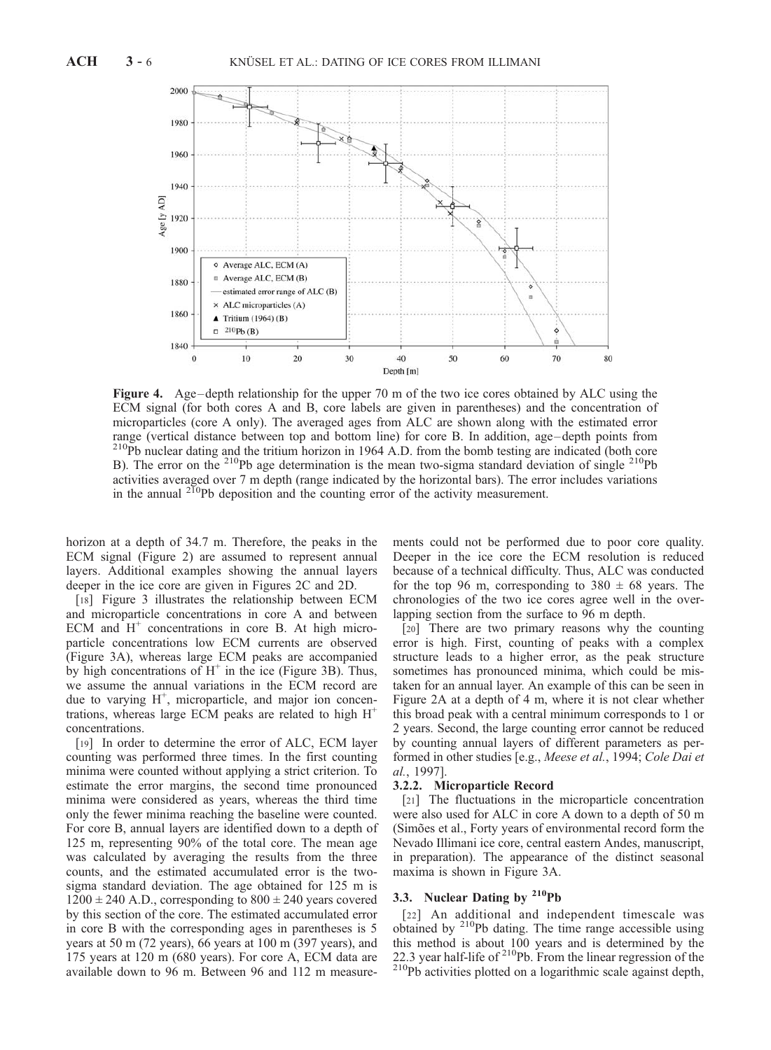

Figure 4. Age-depth relationship for the upper 70 m of the two ice cores obtained by ALC using the ECM signal (for both cores A and B, core labels are given in parentheses) and the concentration of microparticles (core A only). The averaged ages from ALC are shown along with the estimated error range (vertical distance between top and bottom line) for core B. In addition, age– depth points from <sup>210</sup>Pb nuclear dating and the tritium horizon in 1964 A.D. from the bomb testing are indicated (both core B). The error on the <sup>210</sup>Pb age determination is the mean two-sigma standard deviation of single <sup>210</sup>Pb activities averaged over 7 m depth (range indicated by the horizontal bars). The error includes variations in the annual  $^{210}Pb$  deposition and the counting error of the activity measurement.

horizon at a depth of 34.7 m. Therefore, the peaks in the ECM signal (Figure 2) are assumed to represent annual layers. Additional examples showing the annual layers deeper in the ice core are given in Figures 2C and 2D.

[18] Figure 3 illustrates the relationship between ECM and microparticle concentrations in core A and between ECM and  $H^+$  concentrations in core B. At high microparticle concentrations low ECM currents are observed (Figure 3A), whereas large ECM peaks are accompanied by high concentrations of  $H^+$  in the ice (Figure 3B). Thus, we assume the annual variations in the ECM record are due to varying  $H^+$ , microparticle, and major ion concentrations, whereas large ECM peaks are related to high  $H^+$ concentrations.

[19] In order to determine the error of ALC, ECM layer counting was performed three times. In the first counting minima were counted without applying a strict criterion. To estimate the error margins, the second time pronounced minima were considered as years, whereas the third time only the fewer minima reaching the baseline were counted. For core B, annual layers are identified down to a depth of 125 m, representing 90% of the total core. The mean age was calculated by averaging the results from the three counts, and the estimated accumulated error is the twosigma standard deviation. The age obtained for 125 m is  $1200 \pm 240$  A.D., corresponding to  $800 \pm 240$  years covered by this section of the core. The estimated accumulated error in core B with the corresponding ages in parentheses is 5 years at 50 m (72 years), 66 years at 100 m (397 years), and 175 years at 120 m (680 years). For core A, ECM data are available down to 96 m. Between 96 and 112 m measurements could not be performed due to poor core quality. Deeper in the ice core the ECM resolution is reduced because of a technical difficulty. Thus, ALC was conducted for the top 96 m, corresponding to  $380 \pm 68$  years. The chronologies of the two ice cores agree well in the overlapping section from the surface to 96 m depth.

[20] There are two primary reasons why the counting error is high. First, counting of peaks with a complex structure leads to a higher error, as the peak structure sometimes has pronounced minima, which could be mistaken for an annual layer. An example of this can be seen in Figure 2A at a depth of 4 m, where it is not clear whether this broad peak with a central minimum corresponds to 1 or 2 years. Second, the large counting error cannot be reduced by counting annual layers of different parameters as performed in other studies [e.g., Meese et al., 1994; Cole Dai et al., 1997].

#### 3.2.2. Microparticle Record

[21] The fluctuations in the microparticle concentration were also used for ALC in core A down to a depth of 50 m (Simões et al., Forty years of environmental record form the Nevado Illimani ice core, central eastern Andes, manuscript, in preparation). The appearance of the distinct seasonal maxima is shown in Figure 3A.

# 3.3. Nuclear Dating by <sup>210</sup>Pb

[22] An additional and independent timescale was obtained by 210Pb dating. The time range accessible using this method is about 100 years and is determined by the 22.3 year half-life of <sup>210</sup>Pb. From the linear regression of the <sup>210</sup>Pb activities plotted on a logarithmic scale against depth,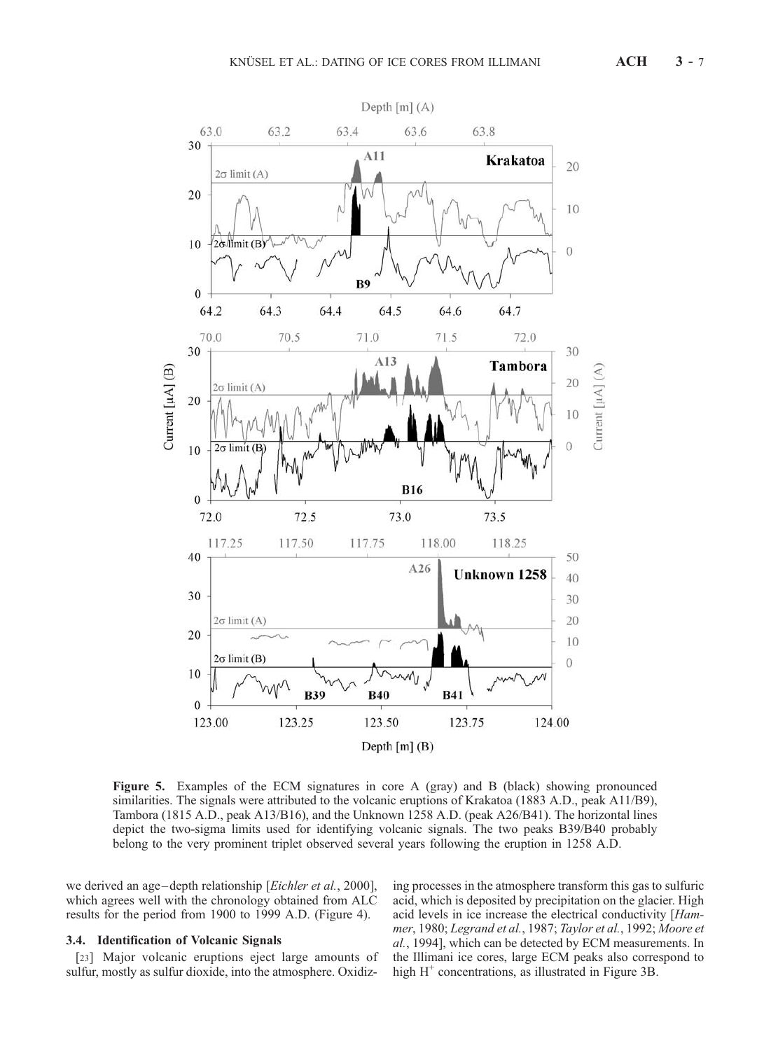

Figure 5. Examples of the ECM signatures in core A (gray) and B (black) showing pronounced similarities. The signals were attributed to the volcanic eruptions of Krakatoa (1883 A.D., peak A11/B9), Tambora (1815 A.D., peak A13/B16), and the Unknown 1258 A.D. (peak A26/B41). The horizontal lines depict the two-sigma limits used for identifying volcanic signals. The two peaks B39/B40 probably belong to the very prominent triplet observed several years following the eruption in 1258 A.D.

we derived an age–depth relationship [Eichler et al., 2000], which agrees well with the chronology obtained from ALC results for the period from 1900 to 1999 A.D. (Figure 4).

### 3.4. Identification of Volcanic Signals

[23] Major volcanic eruptions eject large amounts of sulfur, mostly as sulfur dioxide, into the atmosphere. Oxidiz-

ing processes in the atmosphere transform this gas to sulfuric acid, which is deposited by precipitation on the glacier. High acid levels in ice increase the electrical conductivity [Hammer, 1980; Legrand et al., 1987; Taylor et al., 1992; Moore et al., 1994], which can be detected by ECM measurements. In the Illimani ice cores, large ECM peaks also correspond to high  $H^+$  concentrations, as illustrated in Figure 3B.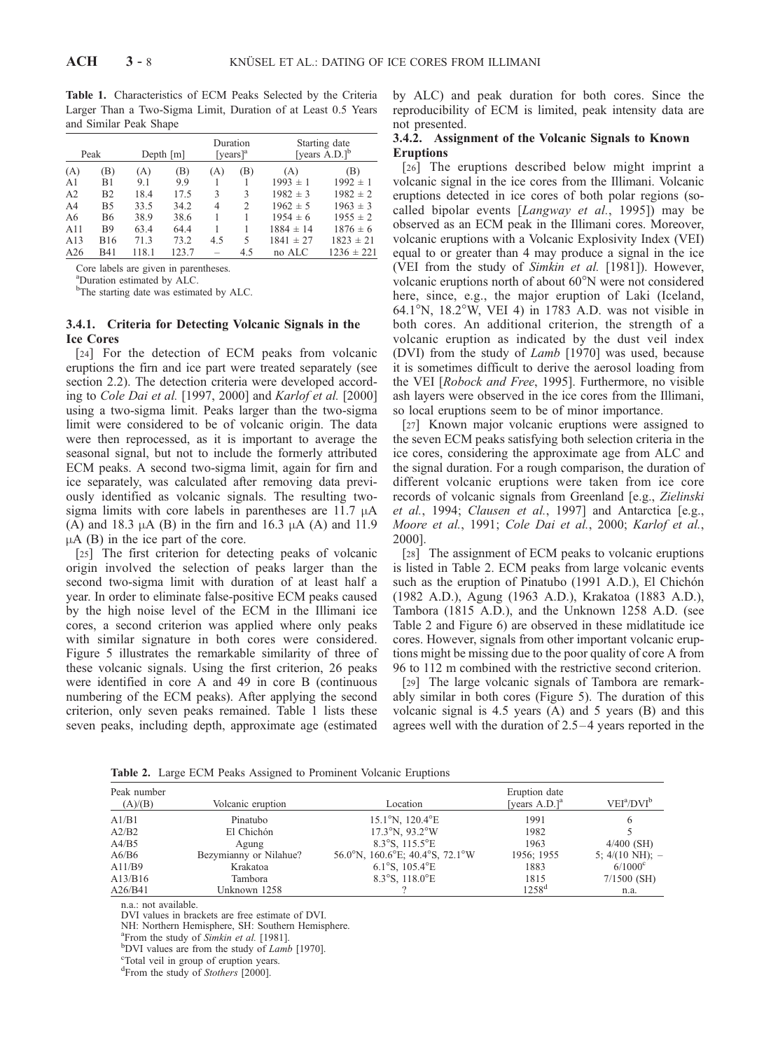Table 1. Characteristics of ECM Peaks Selected by the Criteria Larger Than a Two-Sigma Limit, Duration of at Least 0.5 Years and Similar Peak Shape

| Peak           |                | Depth $[m]$ |       | Duration<br>[years] $a^a$ |     | Starting date<br>[years $A.D.]^b$ |                |
|----------------|----------------|-------------|-------|---------------------------|-----|-----------------------------------|----------------|
| (A)            | (B)            | (A)         | (B)   | (A)                       | (B) | (A)                               | (B)            |
| A <sub>1</sub> | B1             | 9.1         | 9.9   |                           |     | $1993 \pm 1$                      | $1992 \pm 1$   |
| A <sub>2</sub> | B <sub>2</sub> | 18.4        | 17.5  | 3                         | 3   | $1982 \pm 3$                      | $1982 \pm 2$   |
| A <sub>4</sub> | B <sub>5</sub> | 33.5        | 34.2  | 4                         | 2   | $1962 \pm 5$                      | $1963 \pm 3$   |
| A6             | <b>B6</b>      | 38.9        | 38.6  |                           |     | $1954 \pm 6$                      | $1955 \pm 2$   |
| A11            | <b>B</b> 9     | 63.4        | 64.4  |                           |     | $1884 \pm 14$                     | $1876 \pm 6$   |
| A13            | <b>B</b> 16    | 71.3        | 73.2  | 4.5                       | 5   | $1841 \pm 27$                     | $1823 \pm 21$  |
| A26            | <b>B41</b>     | 118.1       | 123.7 | -                         | 4.5 | no ALC                            | $1236 \pm 221$ |

Core labels are given in parentheses.

a Duration estimated by ALC.

<sup>b</sup>The starting date was estimated by ALC.

#### 3.4.1. Criteria for Detecting Volcanic Signals in the Ice Cores

[24] For the detection of ECM peaks from volcanic eruptions the firn and ice part were treated separately (see section 2.2). The detection criteria were developed according to Cole Dai et al. [1997, 2000] and Karlof et al. [2000] using a two-sigma limit. Peaks larger than the two-sigma limit were considered to be of volcanic origin. The data were then reprocessed, as it is important to average the seasonal signal, but not to include the formerly attributed ECM peaks. A second two-sigma limit, again for firn and ice separately, was calculated after removing data previously identified as volcanic signals. The resulting twosigma limits with core labels in parentheses are  $11.7 \mu A$ (A) and 18.3  $\mu$ A (B) in the firn and 16.3  $\mu$ A (A) and 11.9  $\mu$ A (B) in the ice part of the core.

[25] The first criterion for detecting peaks of volcanic origin involved the selection of peaks larger than the second two-sigma limit with duration of at least half a year. In order to eliminate false-positive ECM peaks caused by the high noise level of the ECM in the Illimani ice cores, a second criterion was applied where only peaks with similar signature in both cores were considered. Figure 5 illustrates the remarkable similarity of three of these volcanic signals. Using the first criterion, 26 peaks were identified in core A and 49 in core B (continuous numbering of the ECM peaks). After applying the second criterion, only seven peaks remained. Table 1 lists these seven peaks, including depth, approximate age (estimated

by ALC) and peak duration for both cores. Since the reproducibility of ECM is limited, peak intensity data are not presented.

### 3.4.2. Assignment of the Volcanic Signals to Known Eruptions

[26] The eruptions described below might imprint a volcanic signal in the ice cores from the Illimani. Volcanic eruptions detected in ice cores of both polar regions (socalled bipolar events [Langway et al., 1995]) may be observed as an ECM peak in the Illimani cores. Moreover, volcanic eruptions with a Volcanic Explosivity Index (VEI) equal to or greater than 4 may produce a signal in the ice (VEI from the study of Simkin et al. [1981]). However, volcanic eruptions north of about  $60^{\circ}$ N were not considered here, since, e.g., the major eruption of Laki (Iceland, 64.1°N, 18.2°W, VEI 4) in 1783 A.D. was not visible in both cores. An additional criterion, the strength of a volcanic eruption as indicated by the dust veil index (DVI) from the study of Lamb [1970] was used, because it is sometimes difficult to derive the aerosol loading from the VEI [Robock and Free, 1995]. Furthermore, no visible ash layers were observed in the ice cores from the Illimani, so local eruptions seem to be of minor importance.

[27] Known major volcanic eruptions were assigned to the seven ECM peaks satisfying both selection criteria in the ice cores, considering the approximate age from ALC and the signal duration. For a rough comparison, the duration of different volcanic eruptions were taken from ice core records of volcanic signals from Greenland [e.g., Zielinski et al., 1994; Clausen et al., 1997] and Antarctica [e.g., Moore et al., 1991; Cole Dai et al., 2000; Karlof et al., 2000].

[28] The assignment of ECM peaks to volcanic eruptions is listed in Table 2. ECM peaks from large volcanic events such as the eruption of Pinatubo (1991 A.D.), El Chichón (1982 A.D.), Agung (1963 A.D.), Krakatoa (1883 A.D.), Tambora (1815 A.D.), and the Unknown 1258 A.D. (see Table 2 and Figure 6) are observed in these midlatitude ice cores. However, signals from other important volcanic eruptions might be missing due to the poor quality of core A from 96 to 112 m combined with the restrictive second criterion.

[29] The large volcanic signals of Tambora are remarkably similar in both cores (Figure 5). The duration of this volcanic signal is 4.5 years (A) and 5 years (B) and this agrees well with the duration of  $2.5-4$  years reported in the

Peak number

Table 2. Large ECM Peaks Assigned to Prominent Volcanic Eruptions

| Peak number |                        | Eruption date                              |                   |                            |  |  |
|-------------|------------------------|--------------------------------------------|-------------------|----------------------------|--|--|
| (A)/(B)     | Volcanic eruption      | Location                                   | [years $A.D.]a$   | $VEI^a/DVI^b$              |  |  |
| A1/B1       | Pinatubo               | $15.1^{\circ}$ N, $120.4^{\circ}$ E        | 1991              | 6                          |  |  |
| A2/B2       | El Chichón             | $17.3^{\circ}$ N, $93.2^{\circ}$ W         | 1982              |                            |  |  |
| A4/B5       | Agung                  | 8.3 $\textdegree$ S, 115.5 $\textdegree$ E | 1963              | $4/400$ (SH)               |  |  |
| A6/B6       | Bezymianny or Nilahue? | 56.0°N, 160.6°E; 40.4°S, 72.1°W            | 1956; 1955        | 5; $4/(10 \text{ NH})$ ; - |  |  |
| A11/B9      | Krakatoa               | 6.1°S, $105.4$ °E                          | 1883              | $6/1000^{\circ}$           |  |  |
| A13/B16     | Tambora                | 8.3 $\textdegree$ S, 118.0 $\textdegree$ E | 1815              | $7/1500$ (SH)              |  |  |
| A26/B41     | Unknown 1258           |                                            | 1258 <sup>d</sup> | n.a.                       |  |  |

n.a.: not available.

DVI values in brackets are free estimate of DVI.

NH: Northern Hemisphere, SH: Southern Hemisphere.

<sup>a</sup> From the study of *Simkin et al.* [1981].

 $b$ DVI values are from the study of *Lamb* [1970].

Total veil in group of eruption years.

<sup>d</sup>From the study of Stothers [2000].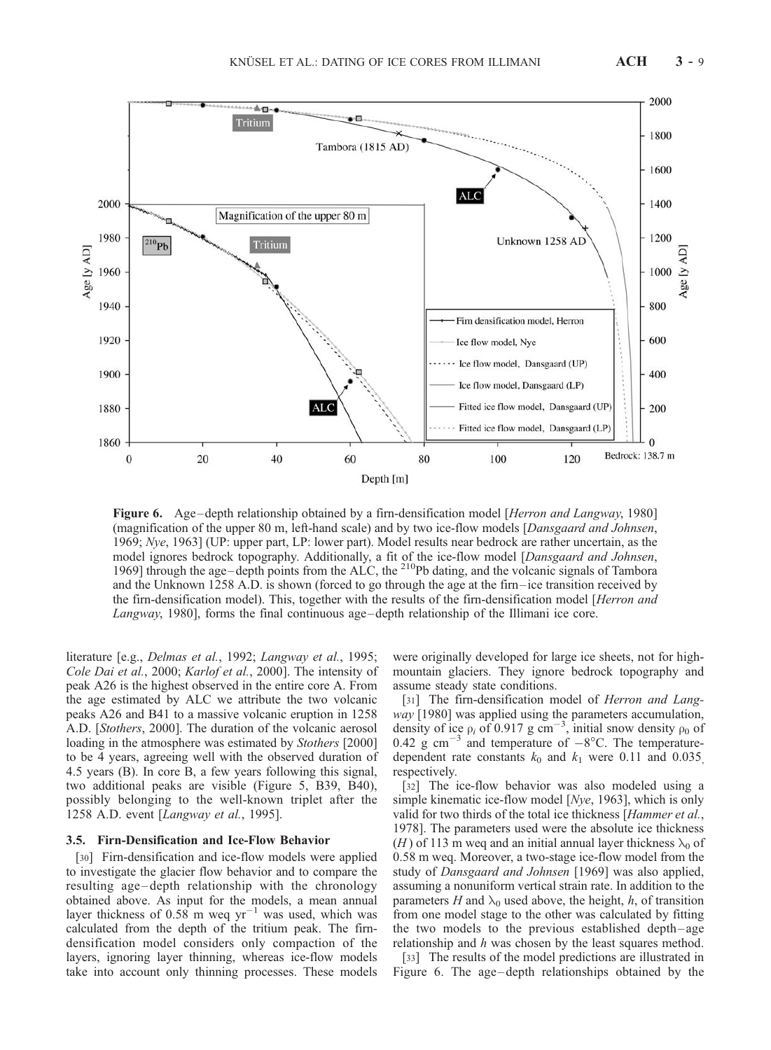

Figure 6. Age-depth relationship obtained by a firn-densification model [Herron and Langway, 1980] (magnification of the upper 80 m, left-hand scale) and by two ice-flow models [Dansgaard and Johnsen, 1969; Nye, 1963] (UP: upper part, LP: lower part). Model results near bedrock are rather uncertain, as the model ignores bedrock topography. Additionally, a fit of the ice-flow model [Dansgaard and Johnsen, 1969] through the age–depth points from the ALC, the  $^{210}Pb$  dating, and the volcanic signals of Tambora and the Unknown 1258 A.D. is shown (forced to go through the age at the firn–ice transition received by the firn-densification model). This, together with the results of the firn-densification model [Herron and Langway, 1980], forms the final continuous age-depth relationship of the Illimani ice core.

literature [e.g., Delmas et al., 1992; Langway et al., 1995; Cole Dai et al., 2000; Karlof et al., 2000]. The intensity of peak A26 is the highest observed in the entire core A. From the age estimated by ALC we attribute the two volcanic peaks A26 and B41 to a massive volcanic eruption in 1258 A.D. [Stothers, 2000]. The duration of the volcanic aerosol loading in the atmosphere was estimated by Stothers [2000] to be 4 years, agreeing well with the observed duration of 4.5 years (B). In core B, a few years following this signal, two additional peaks are visible (Figure 5, B39, B40), possibly belonging to the well-known triplet after the 1258 A.D. event [Langway et al., 1995].

## 3.5. Firn-Densification and Ice-Flow Behavior

[30] Firn-densification and ice-flow models were applied to investigate the glacier flow behavior and to compare the resulting age – depth relationship with the chronology obtained above. As input for the models, a mean annual layer thickness of 0.58 m weq  $yr^{-1}$  was used, which was calculated from the depth of the tritium peak. The firndensification model considers only compaction of the layers, ignoring layer thinning, whereas ice-flow models take into account only thinning processes. These models

were originally developed for large ice sheets, not for highmountain glaciers. They ignore bedrock topography and assume steady state conditions.

[31] The firn-densification model of *Herron and Lang*way [1980] was applied using the parameters accumulation, density of ice  $\rho_i$  of 0.917 g cm<sup>-3</sup>, initial snow density  $\rho_0$  of 0.42 g cm<sup>-3</sup> and temperature of  $-8^{\circ}$ C. The temperaturedependent rate constants  $k_0$  and  $k_1$  were 0.11 and 0.035 respectively.

[32] The ice-flow behavior was also modeled using a simple kinematic ice-flow model [*Nye*, 1963], which is only valid for two thirds of the total ice thickness [Hammer et al., 1978]. The parameters used were the absolute ice thickness (H) of 113 m weg and an initial annual layer thickness  $\lambda_0$  of 0.58 m weq. Moreover, a two-stage ice-flow model from the study of *Dansgaard and Johnsen* [1969] was also applied, assuming a nonuniform vertical strain rate. In addition to the parameters H and  $\lambda_0$  used above, the height, h, of transition from one model stage to the other was calculated by fitting the two models to the previous established depth – age relationship and h was chosen by the least squares method.

[33] The results of the model predictions are illustrated in Figure 6. The age-depth relationships obtained by the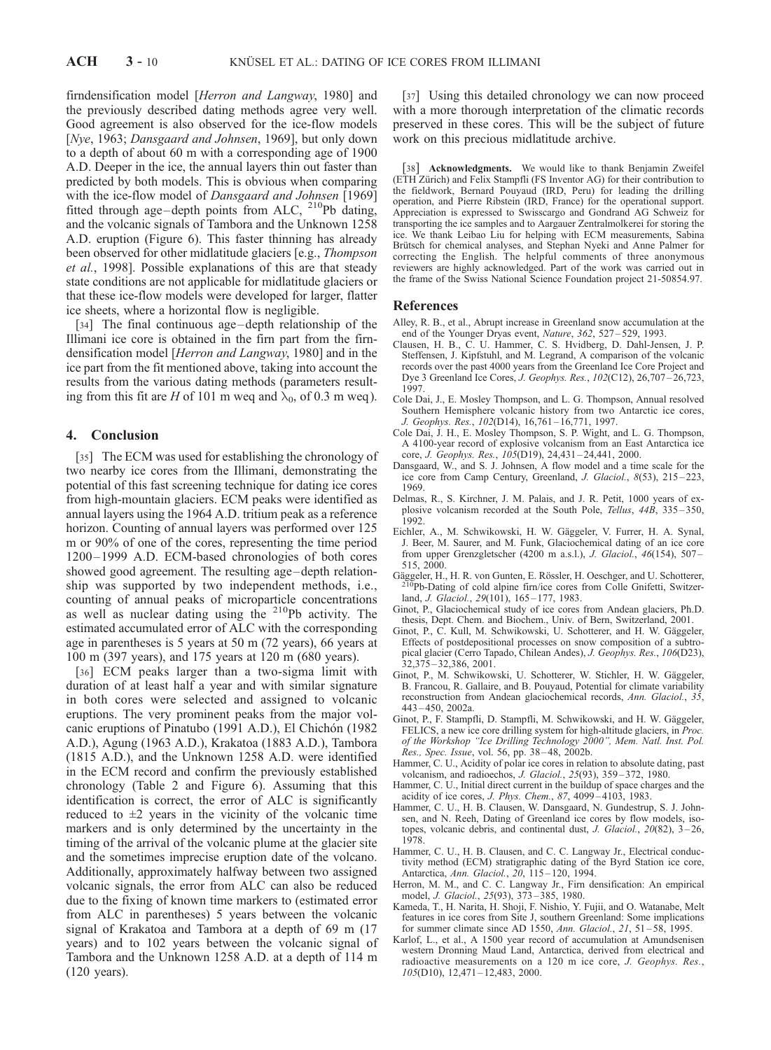firndensification model [Herron and Langway, 1980] and the previously described dating methods agree very well. Good agreement is also observed for the ice-flow models [Nye, 1963; Dansgaard and Johnsen, 1969], but only down to a depth of about 60 m with a corresponding age of 1900 A.D. Deeper in the ice, the annual layers thin out faster than predicted by both models. This is obvious when comparing with the ice-flow model of *Dansgaard and Johnsen* [1969] fitted through age-depth points from ALC, <sup>210</sup>Pb dating, and the volcanic signals of Tambora and the Unknown 1258 A.D. eruption (Figure 6). This faster thinning has already been observed for other midlatitude glaciers [e.g., Thompson et al., 1998]. Possible explanations of this are that steady state conditions are not applicable for midlatitude glaciers or that these ice-flow models were developed for larger, flatter ice sheets, where a horizontal flow is negligible.

[34] The final continuous age – depth relationship of the Illimani ice core is obtained in the firn part from the firndensification model [Herron and Langway, 1980] and in the ice part from the fit mentioned above, taking into account the results from the various dating methods (parameters resulting from this fit are H of 101 m weq and  $\lambda_0$ , of 0.3 m weq).

## 4. Conclusion

[35] The ECM was used for establishing the chronology of two nearby ice cores from the Illimani, demonstrating the potential of this fast screening technique for dating ice cores from high-mountain glaciers. ECM peaks were identified as annual layers using the 1964 A.D. tritium peak as a reference horizon. Counting of annual layers was performed over 125 m or 90% of one of the cores, representing the time period 1200 – 1999 A.D. ECM-based chronologies of both cores showed good agreement. The resulting age –depth relationship was supported by two independent methods, i.e., counting of annual peaks of microparticle concentrations as well as nuclear dating using the 210Pb activity. The estimated accumulated error of ALC with the corresponding age in parentheses is 5 years at 50 m (72 years), 66 years at 100 m (397 years), and 175 years at 120 m (680 years).

[36] ECM peaks larger than a two-sigma limit with duration of at least half a year and with similar signature in both cores were selected and assigned to volcanic eruptions. The very prominent peaks from the major volcanic eruptions of Pinatubo (1991 A.D.), El Chichón (1982 A.D.), Agung (1963 A.D.), Krakatoa (1883 A.D.), Tambora (1815 A.D.), and the Unknown 1258 A.D. were identified in the ECM record and confirm the previously established chronology (Table 2 and Figure 6). Assuming that this identification is correct, the error of ALC is significantly reduced to  $\pm 2$  years in the vicinity of the volcanic time markers and is only determined by the uncertainty in the timing of the arrival of the volcanic plume at the glacier site and the sometimes imprecise eruption date of the volcano. Additionally, approximately halfway between two assigned volcanic signals, the error from ALC can also be reduced due to the fixing of known time markers to (estimated error from ALC in parentheses) 5 years between the volcanic signal of Krakatoa and Tambora at a depth of 69 m (17 years) and to 102 years between the volcanic signal of Tambora and the Unknown 1258 A.D. at a depth of 114 m (120 years).

[37] Using this detailed chronology we can now proceed with a more thorough interpretation of the climatic records preserved in these cores. This will be the subject of future work on this precious midlatitude archive.

[38] **Acknowledgments.** We would like to thank Benjamin Zweifel (ETH Zürich) and Felix Stampfli (FS Inventor AG) for their contribution to the fieldwork, Bernard Pouyaud (IRD, Peru) for leading the drilling operation, and Pierre Ribstein (IRD, France) for the operational support. Appreciation is expressed to Swisscargo and Gondrand AG Schweiz for transporting the ice samples and to Aargauer Zentralmolkerei for storing the ice. We thank Leibao Liu for helping with ECM measurements, Sabina Brütsch for chemical analyses, and Stephan Nyeki and Anne Palmer for correcting the English. The helpful comments of three anonymous reviewers are highly acknowledged. Part of the work was carried out in the frame of the Swiss National Science Foundation project 21-50854.97.

#### References

- Alley, R. B., et al., Abrupt increase in Greenland snow accumulation at the end of the Younger Dryas event, Nature, 362, 527 – 529, 1993.
- Clausen, H. B., C. U. Hammer, C. S. Hvidberg, D. Dahl-Jensen, J. P. Steffensen, J. Kipfstuhl, and M. Legrand, A comparison of the volcanic records over the past 4000 years from the Greenland Ice Core Project and Dye 3 Greenland Ice Cores, J. Geophys. Res., 102(C12), 26,707 – 26,723, 1997.
- Cole Dai, J., E. Mosley Thompson, and L. G. Thompson, Annual resolved Southern Hemisphere volcanic history from two Antarctic ice cores, J. Geophys. Res., 102(D14), 16,761 – 16,771, 1997.
- Cole Dai, J. H., E. Mosley Thompson, S. P. Wight, and L. G. Thompson, A 4100-year record of explosive volcanism from an East Antarctica ice core, J. Geophys. Res., 105(D19), 24,431-24,441, 2000.
- Dansgaard, W., and S. J. Johnsen, A flow model and a time scale for the ice core from Camp Century, Greenland, J. Glaciol., 8(53), 215 – 223, 1969.
- Delmas, R., S. Kirchner, J. M. Palais, and J. R. Petit, 1000 years of explosive volcanism recorded at the South Pole, Tellus, 44B, 335 – 350, 1992.
- Eichler, A., M. Schwikowski, H. W. Gäggeler, V. Furrer, H. A. Synal, J. Beer, M. Saurer, and M. Funk, Glaciochemical dating of an ice core from upper Grenzgletscher (4200 m a.s.l.), J. Glaciol., 46(154), 507 –  $515, 2000$
- Gäggeler, H., H. R. von Gunten, E. Rössler, H. Oeschger, and U. Schotterer, <sup>210</sup>Pb-Dating of cold alpine firn/ice cores from Colle Gnifetti, Switzerland, *J. Glaciol.*, 29(101), 165-177, 1983.
- Ginot, P., Glaciochemical study of ice cores from Andean glaciers, Ph.D. thesis, Dept. Chem. and Biochem., Univ. of Bern, Switzerland, 2001.
- Ginot, P., C. Kull, M. Schwikowski, U. Schotterer, and H. W. Gäggeler, Effects of postdepositional processes on snow composition of a subtropical glacier (Cerro Tapado, Chilean Andes), J. Geophys. Res., 106(D23), 32,375 – 32,386, 2001.
- Ginot, P., M. Schwikowski, U. Schotterer, W. Stichler, H. W. Gäggeler, B. Francou, R. Gallaire, and B. Pouyaud, Potential for climate variability reconstruction from Andean glaciochemical records, Ann. Glaciol., 35,  $443 - 450$ , 2002a.
- Ginot, P., F. Stampfli, D. Stampfli, M. Schwikowski, and H. W. Gäggeler, FELICS, a new ice core drilling system for high-altitude glaciers, in Proc. of the Workshop ''Ice Drilling Technology 2000'', Mem. Natl. Inst. Pol. Res., Spec. Issue, vol. 56, pp. 38 – 48, 2002b.
- Hammer, C. U., Acidity of polar ice cores in relation to absolute dating, past volcanism, and radioechos, J. Glaciol., 25(93), 359 – 372, 1980.
- Hammer, C. U., Initial direct current in the buildup of space charges and the acidity of ice cores, J. Phys. Chem., 87, 4099 – 4103, 1983.
- Hammer, C. U., H. B. Clausen, W. Dansgaard, N. Gundestrup, S. J. Johnsen, and N. Reeh, Dating of Greenland ice cores by flow models, isotopes, volcanic debris, and continental dust, J. Glaciol.,  $20(82)$ ,  $3-26$ , 1978.
- Hammer, C. U., H. B. Clausen, and C. C. Langway Jr., Electrical conductivity method (ECM) stratigraphic dating of the Byrd Station ice core, Antarctica, Ann. Glaciol., 20, 115 – 120, 1994.
- Herron, M. M., and C. C. Langway Jr., Firn densification: An empirical model, J. Glaciol., 25(93), 373 – 385, 1980.
- Kameda, T., H. Narita, H. Shoji, F. Nishio, Y. Fujii, and O. Watanabe, Melt features in ice cores from Site J, southern Greenland: Some implications for summer climate since AD 1550, Ann. Glaciol., 21, 51–58, 1995.
- Karlof, L., et al., A 1500 year record of accumulation at Amundsenisen western Dronning Maud Land, Antarctica, derived from electrical and radioactive measurements on a 120 m ice core, J. Geophys. Res., 105(D10), 12,471-12,483, 2000.